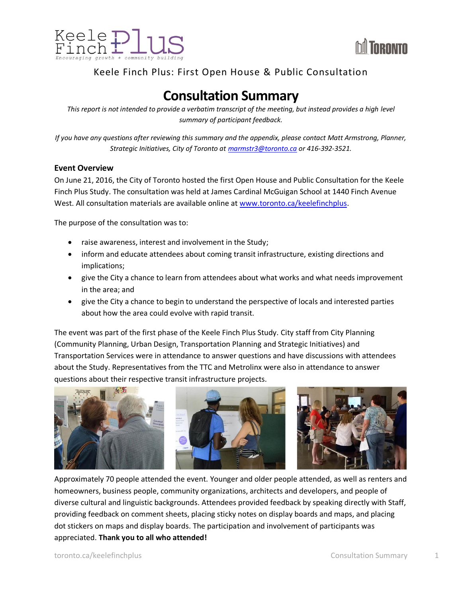



## Keele Finch Plus: First Open House & Public Consultation

## **Consultation Summary**

*This report is not intended to provide a verbatim transcript of the meeting, but instead provides a high level summary of participant feedback.*

*If you have any questions after reviewing this summary and the appendix, please contact Matt Armstrong, Planner, Strategic Initiatives, City of Toronto at [marmstr3@toronto.ca](mailto:marmstr3@toronto.ca) or 416-392-3521.*

#### **Event Overview**

On June 21, 2016, the City of Toronto hosted the first Open House and Public Consultation for the Keele Finch Plus Study. The consultation was held at James Cardinal McGuigan School at 1440 Finch Avenue West. All consultation materials are available online a[t www.toronto.ca/keelefinchplus.](http://www.toronto.ca/keelefinchplus)

The purpose of the consultation was to:

- raise awareness, interest and involvement in the Study;
- inform and educate attendees about coming transit infrastructure, existing directions and implications;
- give the City a chance to learn from attendees about what works and what needs improvement in the area; and
- give the City a chance to begin to understand the perspective of locals and interested parties about how the area could evolve with rapid transit.

The event was part of the first phase of the Keele Finch Plus Study. City staff from City Planning (Community Planning, Urban Design, Transportation Planning and Strategic Initiatives) and Transportation Services were in attendance to answer questions and have discussions with attendees about the Study. Representatives from the TTC and Metrolinx were also in attendance to answer questions about their respective transit infrastructure projects.



Approximately 70 people attended the event. Younger and older people attended, as well as renters and homeowners, business people, community organizations, architects and developers, and people of diverse cultural and linguistic backgrounds. Attendees provided feedback by speaking directly with Staff, providing feedback on comment sheets, placing sticky notes on display boards and maps, and placing dot stickers on maps and display boards. The participation and involvement of participants was appreciated. **Thank you to all who attended!**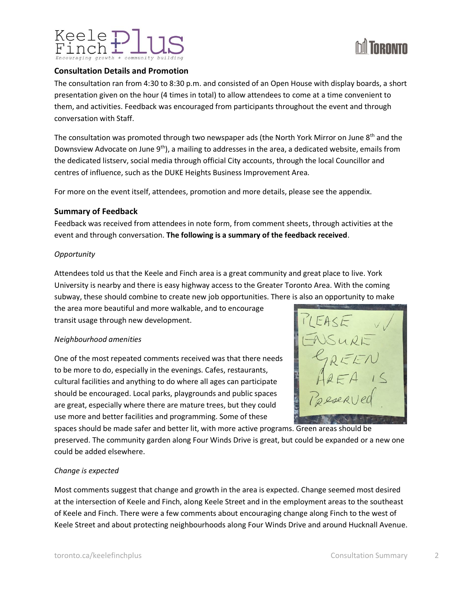

#### **Consultation Details and Promotion**

The consultation ran from 4:30 to 8:30 p.m. and consisted of an Open House with display boards, a short presentation given on the hour (4 times in total) to allow attendees to come at a time convenient to them, and activities. Feedback was encouraged from participants throughout the event and through conversation with Staff.

The consultation was promoted through two newspaper ads (the North York Mirror on June  $8<sup>th</sup>$  and the Downsview Advocate on June 9<sup>th</sup>), a mailing to addresses in the area, a dedicated website, emails from the dedicated listserv, social media through official City accounts, through the local Councillor and centres of influence, such as the DUKE Heights Business Improvement Area.

For more on the event itself, attendees, promotion and more details, please see the appendix.

#### **Summary of Feedback**

Feedback was received from attendees in note form, from comment sheets, through activities at the event and through conversation. **The following is a summary of the feedback received**.

#### *Opportunity*

Attendees told us that the Keele and Finch area is a great community and great place to live. York University is nearby and there is easy highway access to the Greater Toronto Area. With the coming subway, these should combine to create new job opportunities. There is also an opportunity to make

the area more beautiful and more walkable, and to encourage transit usage through new development.

#### *Neighbourhood amenities*

One of the most repeated comments received was that there needs to be more to do, especially in the evenings. Cafes, restaurants, cultural facilities and anything to do where all ages can participate should be encouraged. Local parks, playgrounds and public spaces are great, especially where there are mature trees, but they could use more and better facilities and programming. Some of these



preserved. The community garden along Four Winds Drive is great, but could be expanded or a new one could be added elsewhere.

#### *Change is expected*

Most comments suggest that change and growth in the area is expected. Change seemed most desired at the intersection of Keele and Finch, along Keele Street and in the employment areas to the southeast of Keele and Finch. There were a few comments about encouraging change along Finch to the west of Keele Street and about protecting neighbourhoods along Four Winds Drive and around Hucknall Avenue.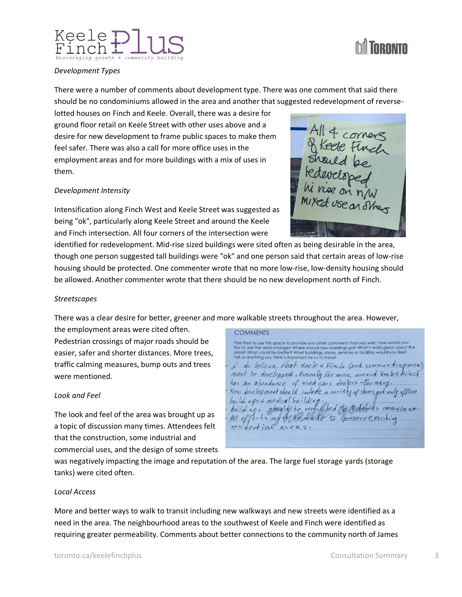# Keele



#### *Development Types*

There were a number of comments about development type. There was one comment that said there should be no condominiums allowed in the area and another that suggested redevelopment of reverse-

lotted houses on Finch and Keele. Overall, there was a desire for ground floor retail on Keele Street with other uses above and a desire for new development to frame public spaces to make them feel safer. There was also a call for more office uses in the employment areas and for more buildings with a mix of uses in them.

#### *Development Intensity*

Intensification along Finch West and Keele Street was suggested as being "ok", particularly along Keele Street and around the Keele and Finch intersection. All four corners of the intersection were

identified for redevelopment. Mid-rise sized buildings were sited often as being desirable in the area, though one person suggested tall buildings were "ok" and one person said that certain areas of low-rise housing should be protected. One commenter wrote that no more low-rise, low-density housing should be allowed. Another commenter wrote that there should be no new development north of Finch.

#### *Streetscapes*

There was a clear desire for better, greener and more walkable streets throughout the area. However,

the employment areas were cited often. Pedestrian crossings of major roads should be easier, safer and shorter distances. More trees, traffic calming measures, bump outs and trees were mentioned.

#### *Look and Feel*

The look and feel of the area was brought up as a topic of discussion many times. Attendees felt that the construction, some industrial and commercial uses, and the design of some streets

**COMMENTS** Feel free to use this space to provide any other comments that you wish. How would you<br>like to see the area change? Where should new buildings go? What's really great about the<br>area? What could be better? What buildings, s I do believe that heele + Finch (and survoya dingarea) must be developped. Presently the area avecude Keelet First has an abondance of used cars dealers-too many. New development shoeld include a variety of stores, not only office buildings & medical building baildings a pleasantain d'interpreted to 8 stories marcianm. All efforts must be made to preserve existing residential areas.

was negatively impacting the image and reputation of the area. The large fuel storage yards (storage tanks) were cited often.

#### *Local Access*

More and better ways to walk to transit including new walkways and new streets were identified as a need in the area. The neighbourhood areas to the southwest of Keele and Finch were identified as requiring greater permeability. Comments about better connections to the community north of James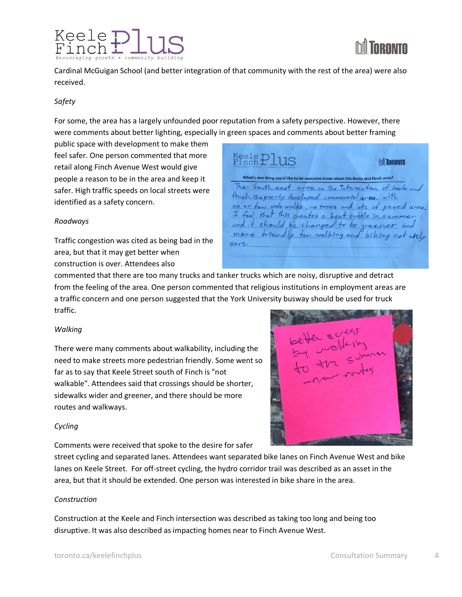

Cardinal McGuigan School (and better integration of that community with the rest of the area) were also received.

#### *Safety*

For some, the area has a largely unfounded poor reputation from a safety perspective. However, there were comments about better lighting, especially in green spaces and comments about better framing

public space with development to make them feel safer. One person commented that more retail along Finch Avenue West would give people a reason to be in the area and keep it safer. High traffic speeds on local streets were identified as a safety concern.

#### *Roadways*

Traffic congestion was cited as being bad in the area, but that it may get better when construction is over. Attendees also

 $_{\rm French}^{\rm Keele}$   $\rm _{\rm Finch}$ **M** TORONTO What's one thing you'd like to let everyone know about the Keele and Finch area? The South east area on the Intersection of keele and timen is a poorly developed commercial area, with no or few side walks, no trees and lots of pared area I feel that this creates a heat bubble in summer and it should be changed to be greener and more triendly for walking and biking not only  $390e$ 

commented that there are too many trucks and tanker trucks which are noisy, disruptive and detract from the feeling of the area. One person commented that religious institutions in employment areas are a traffic concern and one person suggested that the York University busway should be used for truck traffic.

#### *Walking*

There were many comments about walkability, including the need to make streets more pedestrian friendly. Some went so far as to say that Keele Street south of Finch is "not walkable". Attendees said that crossings should be shorter, sidewalks wider and greener, and there should be more routes and walkways.

#### *Cycling*

Comments were received that spoke to the desire for safer



street cycling and separated lanes. Attendees want separated bike lanes on Finch Avenue West and bike lanes on Keele Street. For off-street cycling, the hydro corridor trail was described as an asset in the area, but that it should be extended. One person was interested in bike share in the area.

#### *Construction*

Construction at the Keele and Finch intersection was described as taking too long and being too disruptive. It was also described as impacting homes near to Finch Avenue West.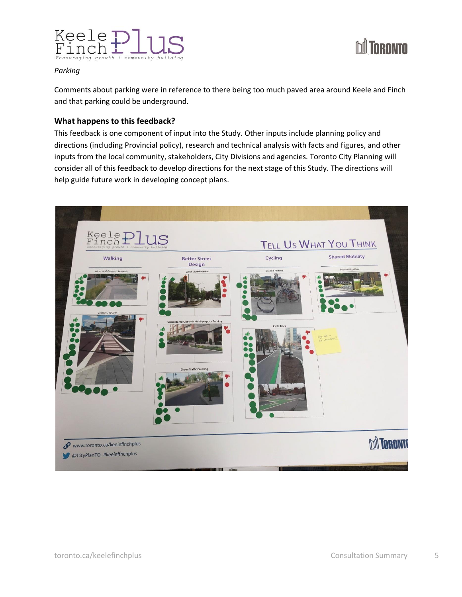



#### *Parking*

Comments about parking were in reference to there being too much paved area around Keele and Finch and that parking could be underground.

#### **What happens to this feedback?**

This feedback is one component of input into the Study. Other inputs include planning policy and directions (including Provincial policy), research and technical analysis with facts and figures, and other inputs from the local community, stakeholders, City Divisions and agencies. Toronto City Planning will consider all of this feedback to develop directions for the next stage of this Study. The directions will help guide future work in developing concept plans.